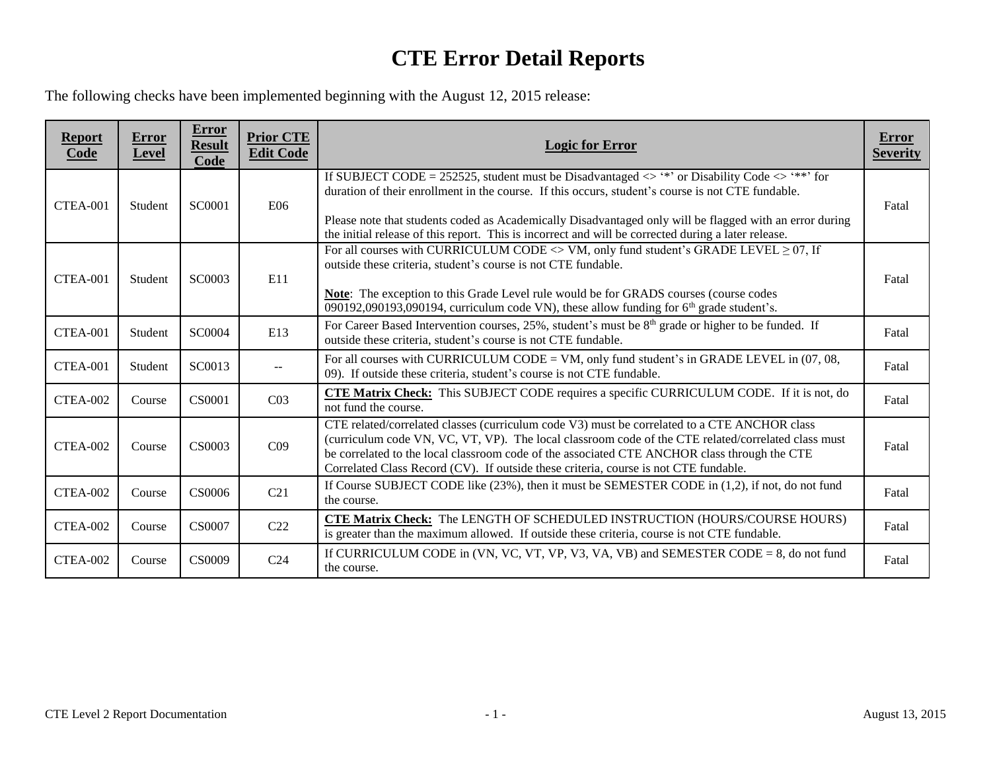## **CTE Error Detail Reports**

The following checks have been implemented beginning with the August 12, 2015 release:

| <b>Report</b><br>Code | Error<br><b>Level</b> | <b>Error</b><br><b>Result</b><br>Code | <b>Prior CTE</b><br><b>Edit Code</b> | <b>Logic for Error</b>                                                                                                                                                                                                                                                                                                                                                                                                       | Error<br><b>Severity</b> |
|-----------------------|-----------------------|---------------------------------------|--------------------------------------|------------------------------------------------------------------------------------------------------------------------------------------------------------------------------------------------------------------------------------------------------------------------------------------------------------------------------------------------------------------------------------------------------------------------------|--------------------------|
| CTEA-001              | Student               | SC0001                                | <b>E06</b>                           | If SUBJECT CODE = 252525, student must be Disadvantaged $\leq$ '*' or Disability Code $\leq$ '**' for<br>duration of their enrollment in the course. If this occurs, student's course is not CTE fundable.<br>Please note that students coded as Academically Disadvantaged only will be flagged with an error during<br>the initial release of this report. This is incorrect and will be corrected during a later release. | Fatal                    |
| CTEA-001              | Student               | SC0003                                | E11                                  | For all courses with CURRICULUM CODE $\langle$ > VM, only fund student's GRADE LEVEL $\geq$ 07, If<br>outside these criteria, student's course is not CTE fundable.<br><b>Note:</b> The exception to this Grade Level rule would be for GRADS courses (course codes<br>090192,090193,090194, curriculum code VN), these allow funding for $6th$ grade student's.                                                             | Fatal                    |
| CTEA-001              | Student               | SC0004                                | E13                                  | For Career Based Intervention courses, 25%, student's must be $8th$ grade or higher to be funded. If<br>outside these criteria, student's course is not CTE fundable.                                                                                                                                                                                                                                                        | Fatal                    |
| CTEA-001              | Student               | SC0013                                | $--$                                 | For all courses with CURRICULUM CODE = VM, only fund student's in GRADE LEVEL in (07, 08,<br>09). If outside these criteria, student's course is not CTE fundable.                                                                                                                                                                                                                                                           | Fatal                    |
| CTEA-002              | Course                | CS0001                                | CO <sub>3</sub>                      | <b>CTE Matrix Check:</b> This SUBJECT CODE requires a specific CURRICULUM CODE. If it is not, do<br>not fund the course.                                                                                                                                                                                                                                                                                                     | Fatal                    |
| CTEA-002              | Course                | CS0003                                | C <sub>09</sub>                      | CTE related/correlated classes (curriculum code V3) must be correlated to a CTE ANCHOR class<br>(curriculum code VN, VC, VT, VP). The local classroom code of the CTE related/correlated class must<br>be correlated to the local classroom code of the associated CTE ANCHOR class through the CTE<br>Correlated Class Record (CV). If outside these criteria, course is not CTE fundable.                                  | Fatal                    |
| CTEA-002              | Course                | CS0006                                | C21                                  | If Course SUBJECT CODE like (23%), then it must be SEMESTER CODE in (1,2), if not, do not fund<br>the course.                                                                                                                                                                                                                                                                                                                | Fatal                    |
| CTEA-002              | Course                | <b>CS0007</b>                         | C22                                  | <b>CTE Matrix Check:</b> The LENGTH OF SCHEDULED INSTRUCTION (HOURS/COURSE HOURS)<br>is greater than the maximum allowed. If outside these criteria, course is not CTE fundable.                                                                                                                                                                                                                                             | Fatal                    |
| CTEA-002              | Course                | <b>CS0009</b>                         | C <sub>24</sub>                      | If CURRICULUM CODE in (VN, VC, VT, VP, V3, VA, VB) and SEMESTER CODE $= 8$ , do not fund<br>the course.                                                                                                                                                                                                                                                                                                                      | Fatal                    |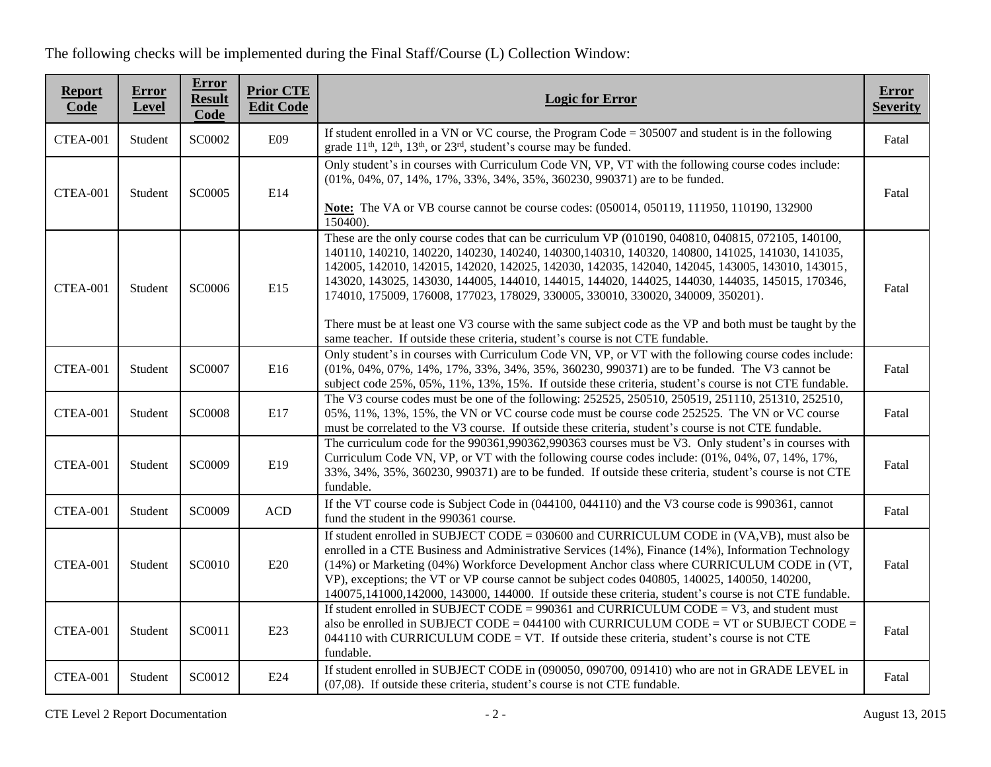The following checks will be implemented during the Final Staff/Course (L) Collection Window:

| <b>Report</b><br>Code | Error<br>Level | <b>Error</b><br><b>Result</b><br>Code | <b>Prior CTE</b><br><b>Edit Code</b> | <b>Logic for Error</b>                                                                                                                                                                                                                                                                                                                                                                                                                                                                                                                                                                                                                                                                        | <b>Error</b><br><b>Severity</b> |
|-----------------------|----------------|---------------------------------------|--------------------------------------|-----------------------------------------------------------------------------------------------------------------------------------------------------------------------------------------------------------------------------------------------------------------------------------------------------------------------------------------------------------------------------------------------------------------------------------------------------------------------------------------------------------------------------------------------------------------------------------------------------------------------------------------------------------------------------------------------|---------------------------------|
| CTEA-001              | Student        | SC0002                                | E09                                  | If student enrolled in a VN or VC course, the Program Code $= 305007$ and student is in the following<br>grade $11th$ , $12th$ , $13th$ , or $23rd$ , student's course may be funded.                                                                                                                                                                                                                                                                                                                                                                                                                                                                                                         | Fatal                           |
| CTEA-001              | Student        | SC0005                                | E14                                  | Only student's in courses with Curriculum Code VN, VP, VT with the following course codes include:<br>(01%, 04%, 07, 14%, 17%, 33%, 34%, 35%, 360230, 990371) are to be funded.<br><b>Note:</b> The VA or VB course cannot be course codes: (050014, 050119, 111950, 110190, 132900)<br>150400).                                                                                                                                                                                                                                                                                                                                                                                              | Fatal                           |
| CTEA-001              | Student        | SC0006                                | E15                                  | These are the only course codes that can be curriculum VP (010190, 040810, 040815, 072105, 140100,<br>140110, 140210, 140220, 140230, 140240, 140300, 140310, 140320, 140800, 141025, 141030, 141035,<br>142005, 142010, 142015, 142020, 142025, 142030, 142035, 142040, 142045, 143005, 143010, 143015,<br>143020, 143025, 143030, 144005, 144010, 144015, 144020, 144025, 144030, 144035, 145015, 170346,<br>174010, 175009, 176008, 177023, 178029, 330005, 330010, 330020, 340009, 350201).<br>There must be at least one V3 course with the same subject code as the VP and both must be taught by the<br>same teacher. If outside these criteria, student's course is not CTE fundable. | Fatal                           |
| CTEA-001              | Student        | SC0007                                | E16                                  | Only student's in courses with Curriculum Code VN, VP, or VT with the following course codes include:<br>(01%, 04%, 07%, 14%, 17%, 33%, 34%, 35%, 360230, 990371) are to be funded. The V3 cannot be<br>subject code 25%, 05%, 11%, 13%, 15%. If outside these criteria, student's course is not CTE fundable.                                                                                                                                                                                                                                                                                                                                                                                | Fatal                           |
| CTEA-001              | Student        | <b>SC0008</b>                         | E17                                  | The V3 course codes must be one of the following: 252525, 250510, 250519, 251110, 251310, 252510,<br>05%, 11%, 13%, 15%, the VN or VC course code must be course code 252525. The VN or VC course<br>must be correlated to the V3 course. If outside these criteria, student's course is not CTE fundable.                                                                                                                                                                                                                                                                                                                                                                                    | Fatal                           |
| CTEA-001              | Student        | SC0009                                | E19                                  | The curriculum code for the 990361,990362,990363 courses must be V3. Only student's in courses with<br>Curriculum Code VN, VP, or VT with the following course codes include: (01%, 04%, 07, 14%, 17%,<br>33%, 34%, 35%, 360230, 990371) are to be funded. If outside these criteria, student's course is not CTE<br>fundable.                                                                                                                                                                                                                                                                                                                                                                | Fatal                           |
| CTEA-001              | Student        | SC0009                                | <b>ACD</b>                           | If the VT course code is Subject Code in (044100, 044110) and the V3 course code is 990361, cannot<br>fund the student in the 990361 course.                                                                                                                                                                                                                                                                                                                                                                                                                                                                                                                                                  | Fatal                           |
| CTEA-001              | Student        | SC0010                                | E20                                  | If student enrolled in SUBJECT CODE = $030600$ and CURRICULUM CODE in (VA,VB), must also be<br>enrolled in a CTE Business and Administrative Services (14%), Finance (14%), Information Technology<br>(14%) or Marketing (04%) Workforce Development Anchor class where CURRICULUM CODE in (VT,<br>VP), exceptions; the VT or VP course cannot be subject codes 040805, 140025, 140050, 140200,<br>140075,141000,142000, 143000, 144000. If outside these criteria, student's course is not CTE fundable.                                                                                                                                                                                     | Fatal                           |
| CTEA-001              | Student        | SC0011                                | E23                                  | If student enrolled in SUBJECT CODE = $990361$ and CURRICULUM CODE = V3, and student must<br>also be enrolled in SUBJECT CODE = $044100$ with CURRICULUM CODE = VT or SUBJECT CODE =<br>044110 with CURRICULUM CODE = VT. If outside these criteria, student's course is not CTE<br>fundable.                                                                                                                                                                                                                                                                                                                                                                                                 | Fatal                           |
| CTEA-001              | Student        | SC0012                                | E24                                  | If student enrolled in SUBJECT CODE in (090050, 090700, 091410) who are not in GRADE LEVEL in<br>$(07,08)$ . If outside these criteria, student's course is not CTE fundable.                                                                                                                                                                                                                                                                                                                                                                                                                                                                                                                 | Fatal                           |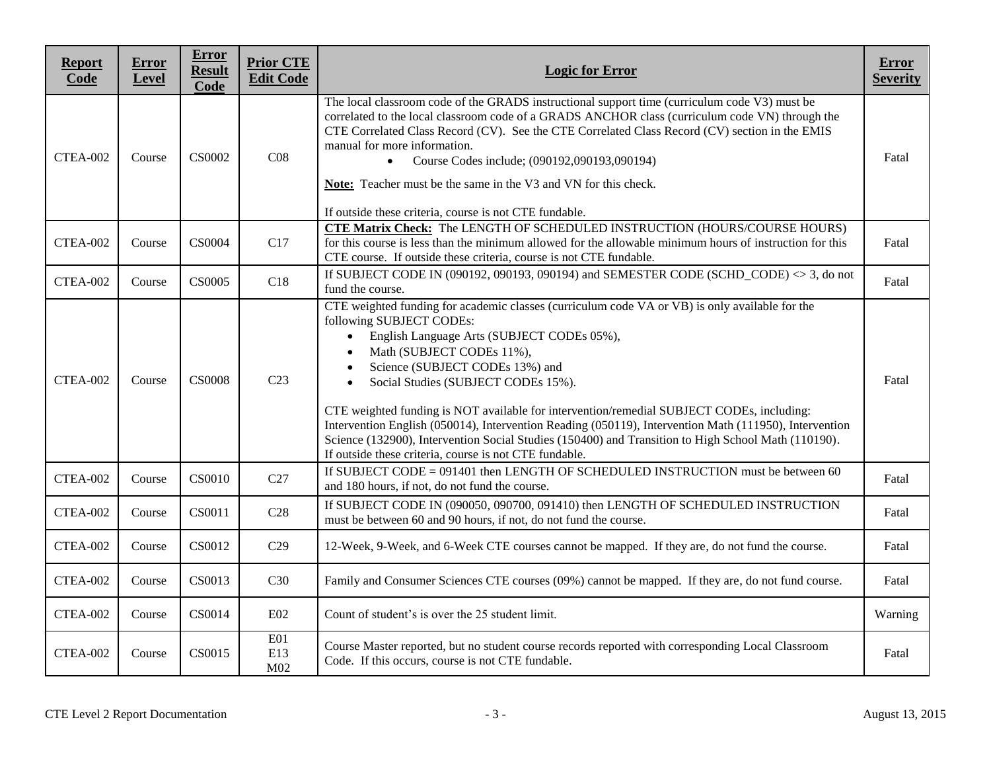| <b>Report</b><br>Code | <b>Error</b><br>Level | <b>Error</b><br><b>Result</b><br><b>Code</b> | <b>Prior CTE</b><br><b>Edit Code</b> | <b>Logic for Error</b>                                                                                                                                                                                                                                                                                                                                                                                                                                                                                                                                                                                                                                                                                      | Error<br><b>Severity</b> |
|-----------------------|-----------------------|----------------------------------------------|--------------------------------------|-------------------------------------------------------------------------------------------------------------------------------------------------------------------------------------------------------------------------------------------------------------------------------------------------------------------------------------------------------------------------------------------------------------------------------------------------------------------------------------------------------------------------------------------------------------------------------------------------------------------------------------------------------------------------------------------------------------|--------------------------|
| CTEA-002              | Course                | CS0002                                       | C <sub>08</sub>                      | The local classroom code of the GRADS instructional support time (curriculum code V3) must be<br>correlated to the local classroom code of a GRADS ANCHOR class (curriculum code VN) through the<br>CTE Correlated Class Record (CV). See the CTE Correlated Class Record (CV) section in the EMIS<br>manual for more information.<br>Course Codes include; (090192,090193,090194)<br>$\bullet$<br>Note: Teacher must be the same in the V3 and VN for this check.<br>If outside these criteria, course is not CTE fundable.                                                                                                                                                                                | Fatal                    |
| CTEA-002              | Course                | CS0004                                       | C17                                  | <b>CTE Matrix Check:</b> The LENGTH OF SCHEDULED INSTRUCTION (HOURS/COURSE HOURS)<br>for this course is less than the minimum allowed for the allowable minimum hours of instruction for this<br>CTE course. If outside these criteria, course is not CTE fundable.                                                                                                                                                                                                                                                                                                                                                                                                                                         | Fatal                    |
| CTEA-002              | Course                | <b>CS0005</b>                                | C18                                  | If SUBJECT CODE IN (090192, 090193, 090194) and SEMESTER CODE (SCHD CODE) $\leq$ 3, do not<br>fund the course.                                                                                                                                                                                                                                                                                                                                                                                                                                                                                                                                                                                              | Fatal                    |
| CTEA-002              | Course                | <b>CS0008</b>                                | C <sub>23</sub>                      | CTE weighted funding for academic classes (curriculum code VA or VB) is only available for the<br>following SUBJECT CODEs:<br>English Language Arts (SUBJECT CODEs 05%),<br>$\bullet$<br>Math (SUBJECT CODEs 11%),<br>$\bullet$<br>Science (SUBJECT CODEs 13%) and<br>$\bullet$<br>Social Studies (SUBJECT CODEs 15%).<br>$\bullet$<br>CTE weighted funding is NOT available for intervention/remedial SUBJECT CODEs, including:<br>Intervention English (050014), Intervention Reading (050119), Intervention Math (111950), Intervention<br>Science (132900), Intervention Social Studies (150400) and Transition to High School Math (110190).<br>If outside these criteria, course is not CTE fundable. | Fatal                    |
| <b>CTEA-002</b>       | Course                | CS0010                                       | C27                                  | If SUBJECT CODE = 091401 then LENGTH OF SCHEDULED INSTRUCTION must be between 60<br>and 180 hours, if not, do not fund the course.                                                                                                                                                                                                                                                                                                                                                                                                                                                                                                                                                                          | Fatal                    |
| CTEA-002              | Course                | CS0011                                       | C28                                  | If SUBJECT CODE IN (090050, 090700, 091410) then LENGTH OF SCHEDULED INSTRUCTION<br>must be between 60 and 90 hours, if not, do not fund the course.                                                                                                                                                                                                                                                                                                                                                                                                                                                                                                                                                        | Fatal                    |
| CTEA-002              | Course                | CS0012                                       | C29                                  | 12-Week, 9-Week, and 6-Week CTE courses cannot be mapped. If they are, do not fund the course.                                                                                                                                                                                                                                                                                                                                                                                                                                                                                                                                                                                                              | Fatal                    |
| CTEA-002              | Course                | CS0013                                       | C30                                  | Family and Consumer Sciences CTE courses (09%) cannot be mapped. If they are, do not fund course.                                                                                                                                                                                                                                                                                                                                                                                                                                                                                                                                                                                                           | Fatal                    |
| CTEA-002              | Course                | CS0014                                       | E <sub>02</sub>                      | Count of student's is over the 25 student limit.                                                                                                                                                                                                                                                                                                                                                                                                                                                                                                                                                                                                                                                            | Warning                  |
| CTEA-002              | Course                | CS0015                                       | E01<br>E13<br>M <sub>02</sub>        | Course Master reported, but no student course records reported with corresponding Local Classroom<br>Code. If this occurs, course is not CTE fundable.                                                                                                                                                                                                                                                                                                                                                                                                                                                                                                                                                      | Fatal                    |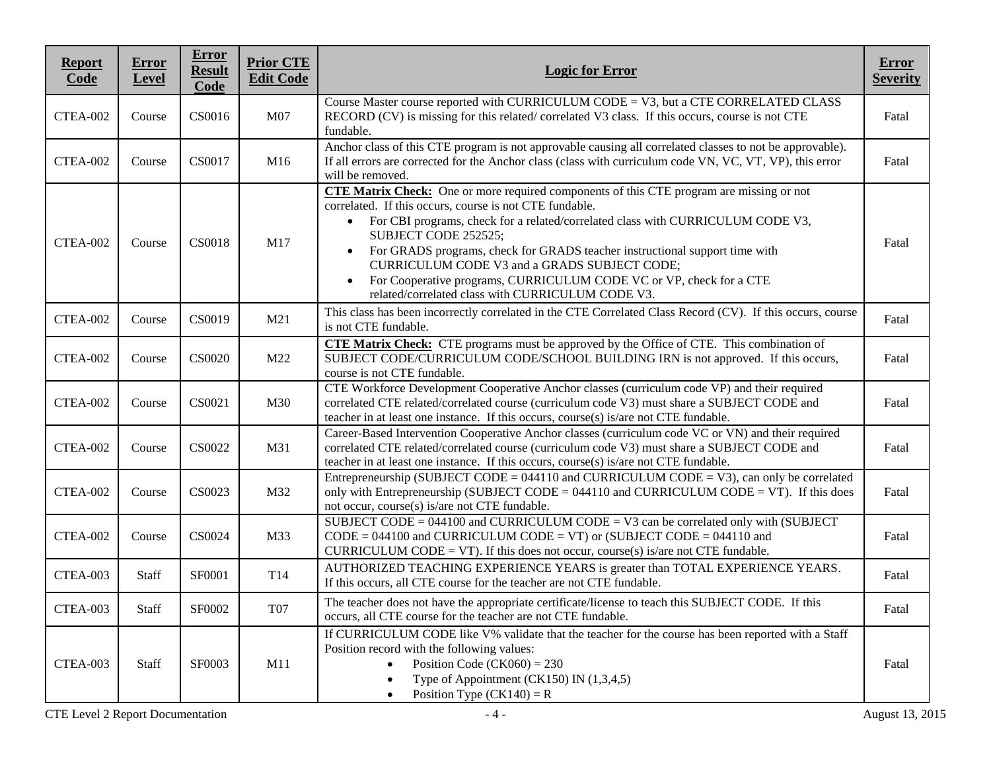| <b>Report</b><br>Code | <b>Error</b><br>Level | Error<br><b>Result</b><br>Code | <b>Prior CTE</b><br><b>Edit Code</b> | <b>Logic for Error</b>                                                                                                                                                                                                                                                                                                                                                                                                                                                                                                                                                  | <b>Error</b><br><b>Severity</b> |
|-----------------------|-----------------------|--------------------------------|--------------------------------------|-------------------------------------------------------------------------------------------------------------------------------------------------------------------------------------------------------------------------------------------------------------------------------------------------------------------------------------------------------------------------------------------------------------------------------------------------------------------------------------------------------------------------------------------------------------------------|---------------------------------|
| CTEA-002              | Course                | CS0016                         | M07                                  | Course Master course reported with CURRICULUM CODE = V3, but a CTE CORRELATED CLASS<br>RECORD (CV) is missing for this related/correlated V3 class. If this occurs, course is not CTE<br>fundable.                                                                                                                                                                                                                                                                                                                                                                      | Fatal                           |
| CTEA-002              | Course                | CS0017                         | M16                                  | Anchor class of this CTE program is not approvable causing all correlated classes to not be approvable).<br>If all errors are corrected for the Anchor class (class with curriculum code VN, VC, VT, VP), this error<br>will be removed.                                                                                                                                                                                                                                                                                                                                | Fatal                           |
| CTEA-002              | Course                | <b>CS0018</b>                  | M17                                  | <b>CTE Matrix Check:</b> One or more required components of this CTE program are missing or not<br>correlated. If this occurs, course is not CTE fundable.<br>For CBI programs, check for a related/correlated class with CURRICULUM CODE V3,<br>$\bullet$<br>SUBJECT CODE 252525;<br>For GRADS programs, check for GRADS teacher instructional support time with<br>$\bullet$<br>CURRICULUM CODE V3 and a GRADS SUBJECT CODE;<br>For Cooperative programs, CURRICULUM CODE VC or VP, check for a CTE<br>$\bullet$<br>related/correlated class with CURRICULUM CODE V3. | Fatal                           |
| CTEA-002              | Course                | CS0019                         | M21                                  | This class has been incorrectly correlated in the CTE Correlated Class Record (CV). If this occurs, course<br>is not CTE fundable.                                                                                                                                                                                                                                                                                                                                                                                                                                      | Fatal                           |
| CTEA-002              | Course                | CS0020                         | M22                                  | <b>CTE Matrix Check:</b> CTE programs must be approved by the Office of CTE. This combination of<br>SUBJECT CODE/CURRICULUM CODE/SCHOOL BUILDING IRN is not approved. If this occurs,<br>course is not CTE fundable.                                                                                                                                                                                                                                                                                                                                                    | Fatal                           |
| CTEA-002              | Course                | CS0021                         | M30                                  | CTE Workforce Development Cooperative Anchor classes (curriculum code VP) and their required<br>correlated CTE related/correlated course (curriculum code V3) must share a SUBJECT CODE and<br>teacher in at least one instance. If this occurs, course(s) is/are not CTE fundable.                                                                                                                                                                                                                                                                                     | Fatal                           |
| CTEA-002              | Course                | CS0022                         | M31                                  | Career-Based Intervention Cooperative Anchor classes (curriculum code VC or VN) and their required<br>correlated CTE related/correlated course (curriculum code V3) must share a SUBJECT CODE and<br>teacher in at least one instance. If this occurs, course(s) is/are not CTE fundable.                                                                                                                                                                                                                                                                               | Fatal                           |
| CTEA-002              | Course                | CS0023                         | M32                                  | Entrepreneurship (SUBJECT CODE = $044110$ and CURRICULUM CODE = V3), can only be correlated<br>only with Entrepreneurship (SUBJECT CODE = $044110$ and CURRICULUM CODE = VT). If this does<br>not occur, course(s) is/are not CTE fundable.                                                                                                                                                                                                                                                                                                                             | Fatal                           |
| CTEA-002              | Course                | CS0024                         | M33                                  | SUBJECT CODE = $044100$ and CURRICULUM CODE = V3 can be correlated only with (SUBJECT<br>$CODE = 044100$ and CURRICULUM CODE = VT) or (SUBJECT CODE = 044110 and<br>CURRICULUM CODE = VT). If this does not occur, course(s) is/are not CTE fundable.                                                                                                                                                                                                                                                                                                                   | Fatal                           |
| CTEA-003              | <b>Staff</b>          | SF0001                         | T14                                  | AUTHORIZED TEACHING EXPERIENCE YEARS is greater than TOTAL EXPERIENCE YEARS.<br>If this occurs, all CTE course for the teacher are not CTE fundable.                                                                                                                                                                                                                                                                                                                                                                                                                    | Fatal                           |
| CTEA-003              | Staff                 | <b>SF0002</b>                  | T07                                  | The teacher does not have the appropriate certificate/license to teach this SUBJECT CODE. If this<br>occurs, all CTE course for the teacher are not CTE fundable.                                                                                                                                                                                                                                                                                                                                                                                                       | Fatal                           |
| CTEA-003              | Staff                 | SF0003                         | M11                                  | If CURRICULUM CODE like V% validate that the teacher for the course has been reported with a Staff<br>Position record with the following values:<br>Position Code (CK060) = $230$<br>Type of Appointment (CK150) IN $(1,3,4,5)$<br>Position Type $(CK140) = R$<br>$\bullet$                                                                                                                                                                                                                                                                                             | Fatal                           |